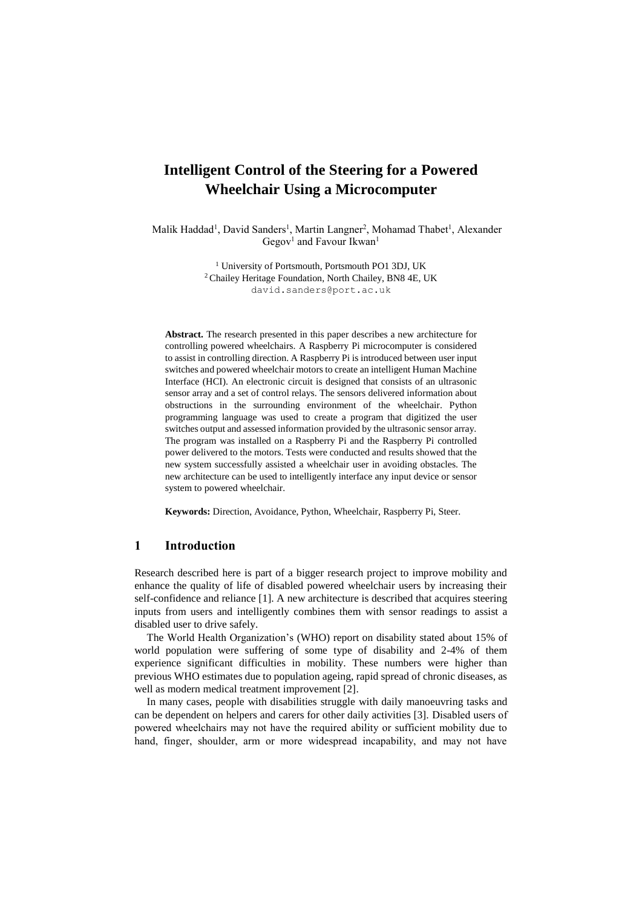# **Intelligent Control of the Steering for a Powered Wheelchair Using a Microcomputer**

Malik Haddad<sup>1</sup>, David Sanders<sup>1</sup>, Martin Langner<sup>2</sup>, Mohamad Thabet<sup>1</sup>, Alexander Gegov<sup>1</sup> and Favour Ikwan<sup>1</sup>

> <sup>1</sup> University of Portsmouth, Portsmouth PO1 3DJ, UK <sup>2</sup> Chailey Heritage Foundation, North Chailey, BN8 4E, UK david.sanders@port.ac.uk

**Abstract.** The research presented in this paper describes a new architecture for controlling powered wheelchairs. A Raspberry Pi microcomputer is considered to assist in controlling direction. A Raspberry Pi is introduced between user input switches and powered wheelchair motors to create an intelligent Human Machine Interface (HCI). An electronic circuit is designed that consists of an ultrasonic sensor array and a set of control relays. The sensors delivered information about obstructions in the surrounding environment of the wheelchair. Python programming language was used to create a program that digitized the user switches output and assessed information provided by the ultrasonic sensor array. The program was installed on a Raspberry Pi and the Raspberry Pi controlled power delivered to the motors. Tests were conducted and results showed that the new system successfully assisted a wheelchair user in avoiding obstacles. The new architecture can be used to intelligently interface any input device or sensor system to powered wheelchair.

**Keywords:** Direction, Avoidance, Python, Wheelchair, Raspberry Pi, Steer.

#### **1 Introduction**

Research described here is part of a bigger research project to improve mobility and enhance the quality of life of disabled powered wheelchair users by increasing their self-confidence and reliance [1]. A new architecture is described that acquires steering inputs from users and intelligently combines them with sensor readings to assist a disabled user to drive safely.

The World Health Organization's (WHO) report on disability stated about 15% of world population were suffering of some type of disability and 2-4% of them experience significant difficulties in mobility. These numbers were higher than previous WHO estimates due to population ageing, rapid spread of chronic diseases, as well as modern medical treatment improvement [2].

In many cases, people with disabilities struggle with daily manoeuvring tasks and can be dependent on helpers and carers for other daily activities [3]. Disabled users of powered wheelchairs may not have the required ability or sufficient mobility due to hand, finger, shoulder, arm or more widespread incapability, and may not have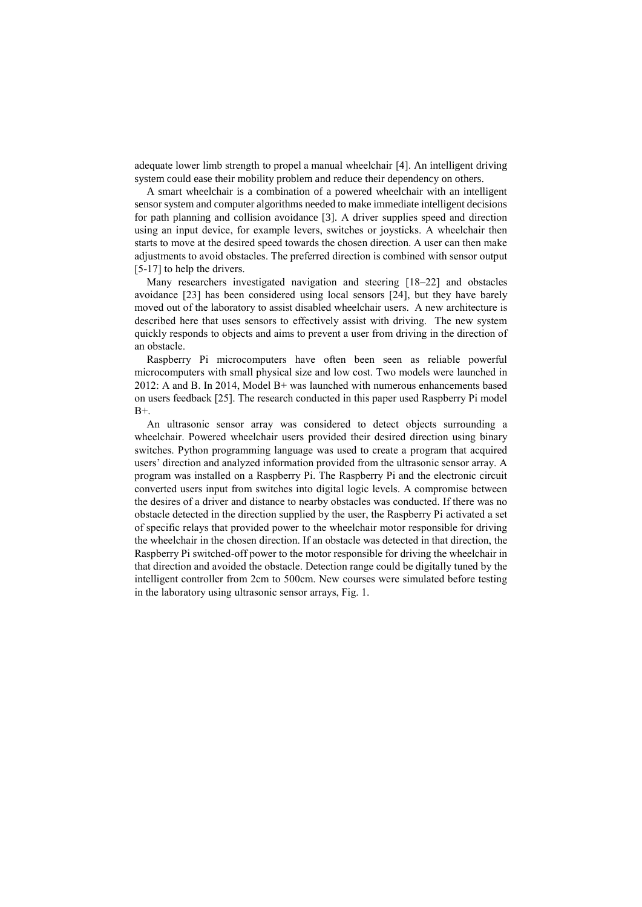adequate lower limb strength to propel a manual wheelchair [4]. An intelligent driving system could ease their mobility problem and reduce their dependency on others.

A smart wheelchair is a combination of a powered wheelchair with an intelligent sensor system and computer algorithms needed to make immediate intelligent decisions for path planning and collision avoidance [3]. A driver supplies speed and direction using an input device, for example levers, switches or joysticks. A wheelchair then starts to move at the desired speed towards the chosen direction. A user can then make adjustments to avoid obstacles. The preferred direction is combined with sensor output [5-17] to help the drivers.

Many researchers investigated navigation and steering [18–22] and obstacles avoidance [23] has been considered using local sensors [24], but they have barely moved out of the laboratory to assist disabled wheelchair users. A new architecture is described here that uses sensors to effectively assist with driving. The new system quickly responds to objects and aims to prevent a user from driving in the direction of an obstacle.

Raspberry Pi microcomputers have often been seen as reliable powerful microcomputers with small physical size and low cost. Two models were launched in 2012: A and B. In 2014, Model B+ was launched with numerous enhancements based on users feedback [25]. The research conducted in this paper used Raspberry Pi model  $B+$ .

An ultrasonic sensor array was considered to detect objects surrounding a wheelchair. Powered wheelchair users provided their desired direction using binary switches. Python programming language was used to create a program that acquired users' direction and analyzed information provided from the ultrasonic sensor array. A program was installed on a Raspberry Pi. The Raspberry Pi and the electronic circuit converted users input from switches into digital logic levels. A compromise between the desires of a driver and distance to nearby obstacles was conducted. If there was no obstacle detected in the direction supplied by the user, the Raspberry Pi activated a set of specific relays that provided power to the wheelchair motor responsible for driving the wheelchair in the chosen direction. If an obstacle was detected in that direction, the Raspberry Pi switched-off power to the motor responsible for driving the wheelchair in that direction and avoided the obstacle. Detection range could be digitally tuned by the intelligent controller from 2cm to 500cm. New courses were simulated before testing in the laboratory using ultrasonic sensor arrays, Fig. 1.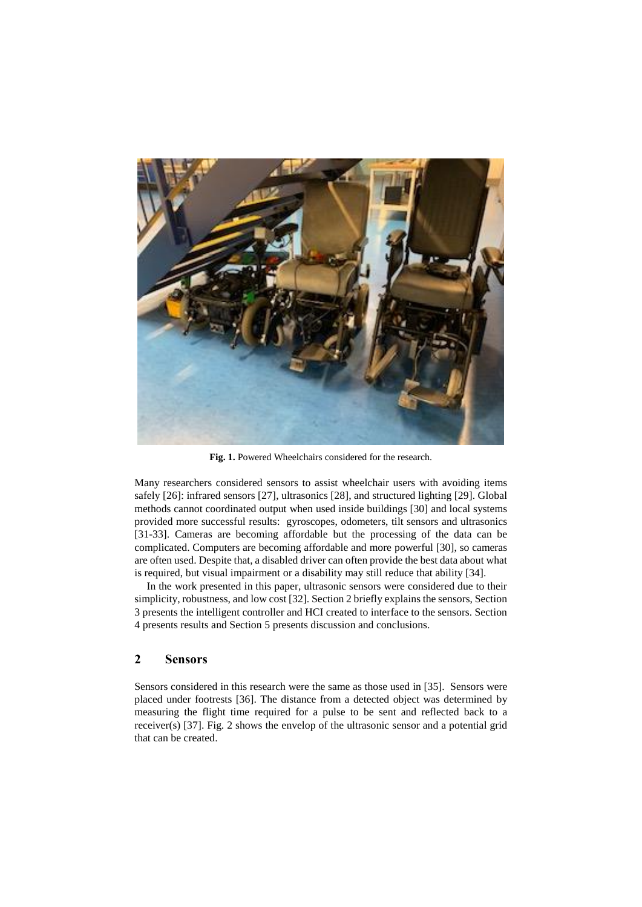

Fig. 1. Powered Wheelchairs considered for the research.

Many researchers considered sensors to assist wheelchair users with avoiding items safely [26]: infrared sensors [27], ultrasonics [28], and structured lighting [29]. Global methods cannot coordinated output when used inside buildings [30] and local systems provided more successful results: gyroscopes, odometers, tilt sensors and ultrasonics [31-33]. Cameras are becoming affordable but the processing of the data can be complicated. Computers are becoming affordable and more powerful [30], so cameras are often used. Despite that, a disabled driver can often provide the best data about what is required, but visual impairment or a disability may still reduce that ability [34].

In the work presented in this paper, ultrasonic sensors were considered due to their simplicity, robustness, and low cost [32]. Section 2 briefly explains the sensors, Section 3 presents the intelligent controller and HCI created to interface to the sensors. Section 4 presents results and Section 5 presents discussion and conclusions.

## **2 Sensors**

Sensors considered in this research were the same as those used in [35]. Sensors were placed under footrests [36]. The distance from a detected object was determined by measuring the flight time required for a pulse to be sent and reflected back to a receiver(s) [37]. Fig. 2 shows the envelop of the ultrasonic sensor and a potential grid that can be created.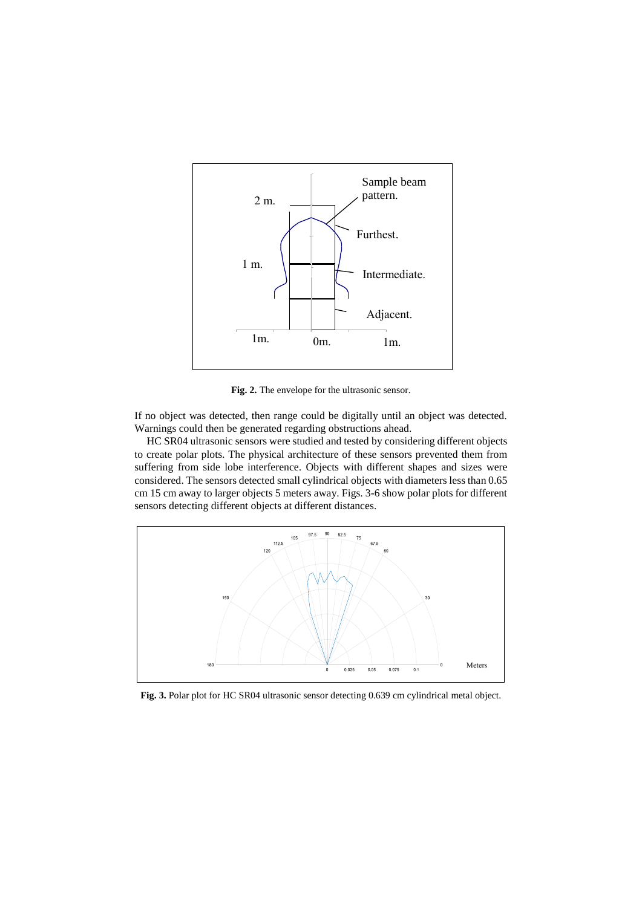

**Fig. 2.** The envelope for the ultrasonic sensor.

If no object was detected, then range could be digitally until an object was detected. Warnings could then be generated regarding obstructions ahead.

HC SR04 ultrasonic sensors were studied and tested by considering different objects to create polar plots. The physical architecture of these sensors prevented them from suffering from side lobe interference. Objects with different shapes and sizes were considered. The sensors detected small cylindrical objects with diameters less than 0.65 cm 15 cm away to larger objects 5 meters away. Figs. 3-6 show polar plots for different sensors detecting different objects at different distances.



**Fig. 3.** Polar plot for HC SR04 ultrasonic sensor detecting 0.639 cm cylindrical metal object.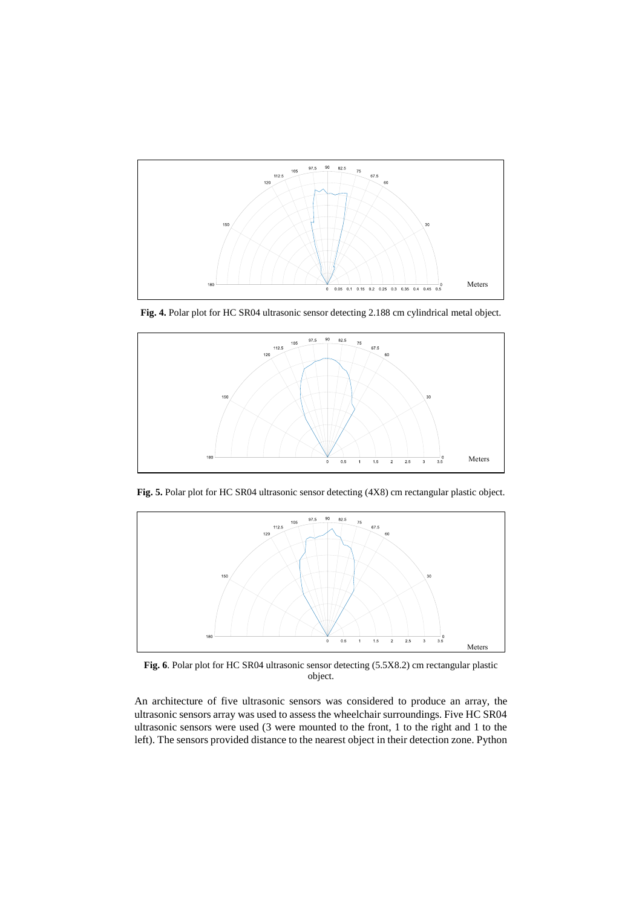

**Fig. 4.** Polar plot for HC SR04 ultrasonic sensor detecting 2.188 cm cylindrical metal object.



**Fig. 5.** Polar plot for HC SR04 ultrasonic sensor detecting (4X8) cm rectangular plastic object.



**Fig. 6**. Polar plot for HC SR04 ultrasonic sensor detecting (5.5X8.2) cm rectangular plastic object.

An architecture of five ultrasonic sensors was considered to produce an array, the ultrasonic sensors array was used to assess the wheelchair surroundings. Five HC SR04 ultrasonic sensors were used (3 were mounted to the front, 1 to the right and 1 to the left). The sensors provided distance to the nearest object in their detection zone. Python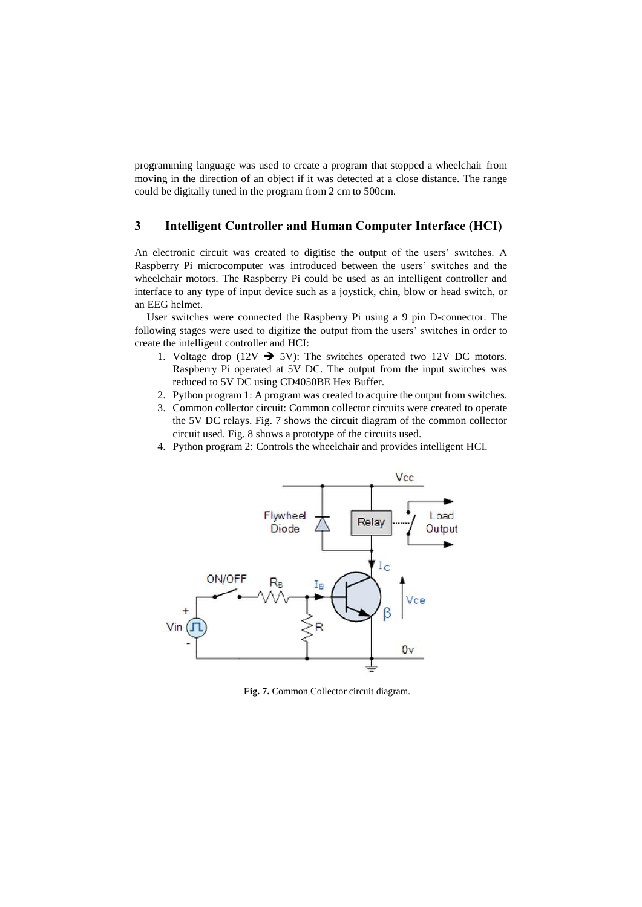programming language was used to create a program that stopped a wheelchair from moving in the direction of an object if it was detected at a close distance. The range could be digitally tuned in the program from 2 cm to 500cm.

## **3 Intelligent Controller and Human Computer Interface (HCI)**

An electronic circuit was created to digitise the output of the users' switches. A Raspberry Pi microcomputer was introduced between the users' switches and the wheelchair motors. The Raspberry Pi could be used as an intelligent controller and interface to any type of input device such as a joystick, chin, blow or head switch, or an EEG helmet.

User switches were connected the Raspberry Pi using a 9 pin D-connector. The following stages were used to digitize the output from the users' switches in order to create the intelligent controller and HCI:

- 1. Voltage drop (12V  $\rightarrow$  5V): The switches operated two 12V DC motors. Raspberry Pi operated at 5V DC. The output from the input switches was reduced to 5V DC using CD4050BE Hex Buffer.
- 2. Python program 1: A program was created to acquire the output from switches.
- 3. Common collector circuit: Common collector circuits were created to operate the 5V DC relays. Fig. 7 shows the circuit diagram of the common collector circuit used. Fig. 8 shows a prototype of the circuits used.
- 4. Python program 2: Controls the wheelchair and provides intelligent HCI.



**Fig. 7.** Common Collector circuit diagram.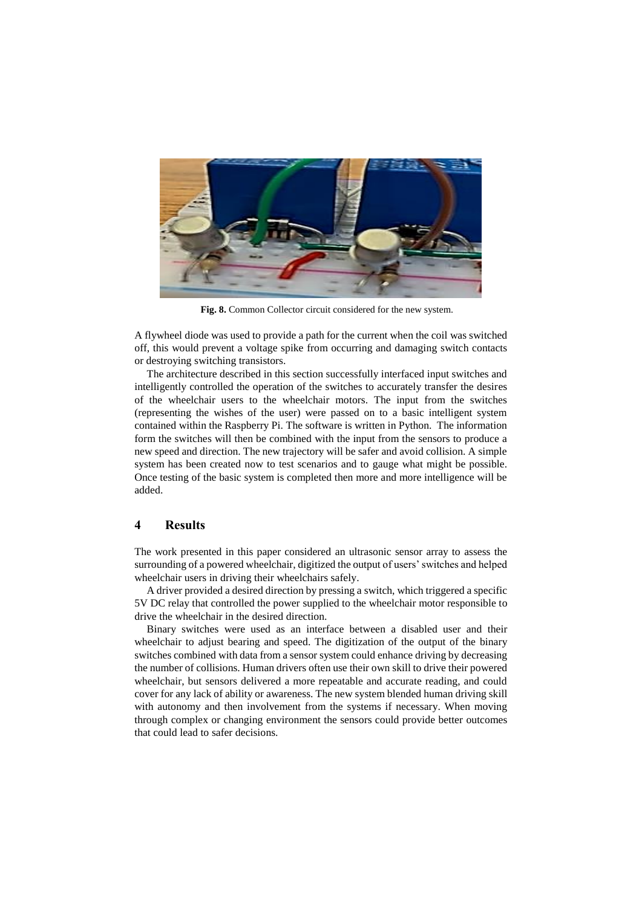

**Fig. 8.** Common Collector circuit considered for the new system.

A flywheel diode was used to provide a path for the current when the coil was switched off, this would prevent a voltage spike from occurring and damaging switch contacts or destroying switching transistors.

The architecture described in this section successfully interfaced input switches and intelligently controlled the operation of the switches to accurately transfer the desires of the wheelchair users to the wheelchair motors. The input from the switches (representing the wishes of the user) were passed on to a basic intelligent system contained within the Raspberry Pi. The software is written in Python. The information form the switches will then be combined with the input from the sensors to produce a new speed and direction. The new trajectory will be safer and avoid collision. A simple system has been created now to test scenarios and to gauge what might be possible. Once testing of the basic system is completed then more and more intelligence will be added.

## **4 Results**

The work presented in this paper considered an ultrasonic sensor array to assess the surrounding of a powered wheelchair, digitized the output of users' switches and helped wheelchair users in driving their wheelchairs safely.

A driver provided a desired direction by pressing a switch, which triggered a specific 5V DC relay that controlled the power supplied to the wheelchair motor responsible to drive the wheelchair in the desired direction.

Binary switches were used as an interface between a disabled user and their wheelchair to adjust bearing and speed. The digitization of the output of the binary switches combined with data from a sensor system could enhance driving by decreasing the number of collisions. Human drivers often use their own skill to drive their powered wheelchair, but sensors delivered a more repeatable and accurate reading, and could cover for any lack of ability or awareness. The new system blended human driving skill with autonomy and then involvement from the systems if necessary. When moving through complex or changing environment the sensors could provide better outcomes that could lead to safer decisions.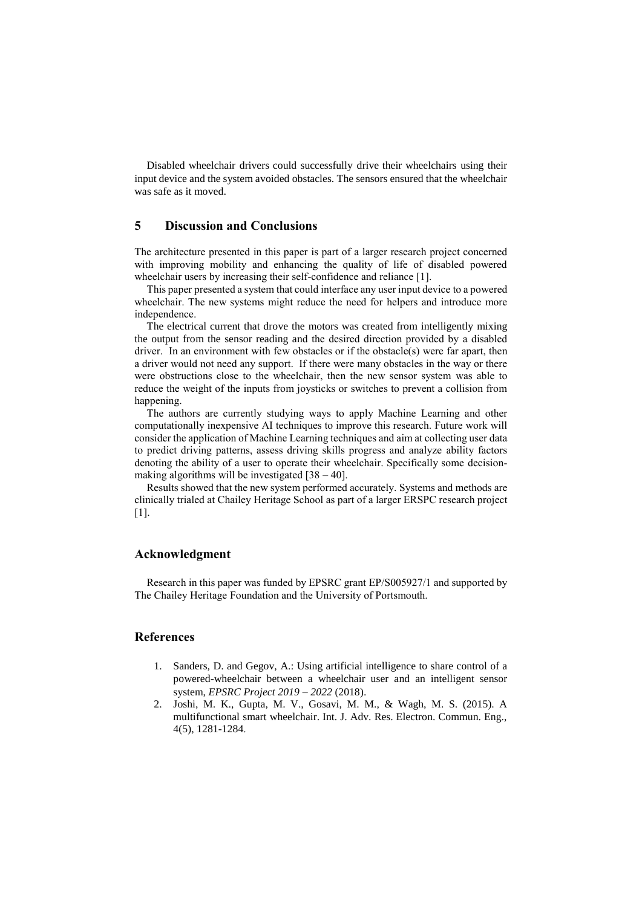Disabled wheelchair drivers could successfully drive their wheelchairs using their input device and the system avoided obstacles. The sensors ensured that the wheelchair was safe as it moved.

### **5 Discussion and Conclusions**

The architecture presented in this paper is part of a larger research project concerned with improving mobility and enhancing the quality of life of disabled powered wheelchair users by increasing their self-confidence and reliance [1].

This paper presented a system that could interface any user input device to a powered wheelchair. The new systems might reduce the need for helpers and introduce more independence.

The electrical current that drove the motors was created from intelligently mixing the output from the sensor reading and the desired direction provided by a disabled driver. In an environment with few obstacles or if the obstacle(s) were far apart, then a driver would not need any support. If there were many obstacles in the way or there were obstructions close to the wheelchair, then the new sensor system was able to reduce the weight of the inputs from joysticks or switches to prevent a collision from happening.

The authors are currently studying ways to apply Machine Learning and other computationally inexpensive AI techniques to improve this research. Future work will consider the application of Machine Learning techniques and aim at collecting user data to predict driving patterns, assess driving skills progress and analyze ability factors denoting the ability of a user to operate their wheelchair. Specifically some decisionmaking algorithms will be investigated  $[38 - 40]$ .

Results showed that the new system performed accurately. Systems and methods are clinically trialed at Chailey Heritage School as part of a larger ERSPC research project [1].

#### **Acknowledgment**

Research in this paper was funded by EPSRC grant EP/S005927/1 and supported by The Chailey Heritage Foundation and the University of Portsmouth.

#### **References**

- 1. Sanders, D. and Gegov, A.: Using artificial intelligence to share control of a powered-wheelchair between a wheelchair user and an intelligent sensor system, *EPSRC Project 2019 – 2022* (2018).
- 2. Joshi, M. K., Gupta, M. V., Gosavi, M. M., & Wagh, M. S. (2015). A multifunctional smart wheelchair. Int. J. Adv. Res. Electron. Commun. Eng., 4(5), 1281-1284.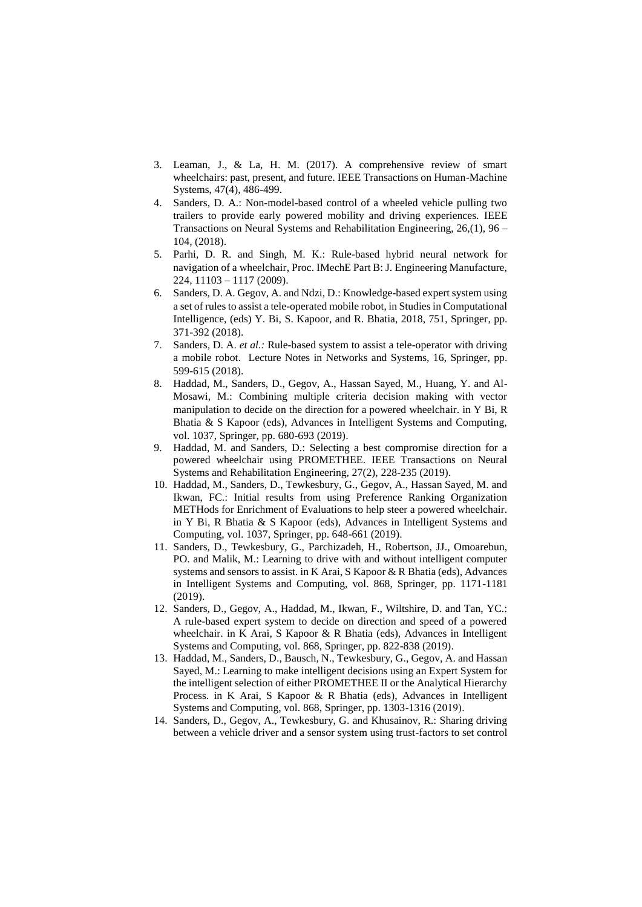- 3. Leaman, J., & La, H. M. (2017). A comprehensive review of smart wheelchairs: past, present, and future. IEEE Transactions on Human-Machine Systems, 47(4), 486-499.
- 4. Sanders, D. A.: Non-model-based control of a wheeled vehicle pulling two trailers to provide early powered mobility and driving experiences. IEEE Transactions on Neural Systems and Rehabilitation Engineering, 26,(1), 96 – 104, (2018).
- 5. Parhi, D. R. and Singh, M. K.: Rule-based hybrid neural network for navigation of a wheelchair, Proc. IMechE Part B: J. Engineering Manufacture, 224, 11103 – 1117 (2009).
- 6. Sanders, D. A. Gegov, A. and Ndzi, D.: Knowledge-based expert system using a set of rules to assist a tele-operated mobile robot, in Studies in Computational Intelligence, (eds) Y. Bi, S. Kapoor, and R. Bhatia, 2018, 751, Springer, pp. 371-392 (2018).
- 7. Sanders, D. A. *et al.:* Rule-based system to assist a tele-operator with driving a mobile robot. Lecture Notes in Networks and Systems, 16, Springer, pp. 599-615 (2018).
- 8. Haddad, M., Sanders, D., Gegov, A., Hassan Sayed, M., Huang, Y. and Al-Mosawi, M.: Combining multiple criteria decision making with vector manipulation to decide on the direction for a powered wheelchair. in Y Bi, R Bhatia & S Kapoor (eds), Advances in Intelligent Systems and Computing, vol. 1037, Springer, pp. 680-693 (2019).
- 9. Haddad, M. and Sanders, D.: Selecting a best compromise direction for a powered wheelchair using PROMETHEE. IEEE Transactions on Neural Systems and Rehabilitation Engineering, 27(2), 228-235 (2019).
- 10. Haddad, M., Sanders, D., Tewkesbury, G., Gegov, A., Hassan Sayed, M. and Ikwan, FC.: Initial results from using Preference Ranking Organization METHods for Enrichment of Evaluations to help steer a powered wheelchair. in Y Bi, R Bhatia & S Kapoor (eds), Advances in Intelligent Systems and Computing, vol. 1037, Springer, pp. 648-661 (2019).
- 11. Sanders, D., Tewkesbury, G., Parchizadeh, H., Robertson, JJ., Omoarebun, PO. and Malik, M.: Learning to drive with and without intelligent computer systems and sensors to assist. in K Arai, S Kapoor & R Bhatia (eds), Advances in Intelligent Systems and Computing, vol. 868, Springer, pp. 1171-1181 (2019).
- 12. Sanders, D., Gegov, A., Haddad, M., Ikwan, F., Wiltshire, D. and Tan, YC.: A rule-based expert system to decide on direction and speed of a powered wheelchair. in K Arai, S Kapoor & R Bhatia (eds), Advances in Intelligent Systems and Computing, vol. 868, Springer, pp. 822-838 (2019).
- 13. Haddad, M., Sanders, D., Bausch, N., Tewkesbury, G., Gegov, A. and Hassan Sayed, M.: Learning to make intelligent decisions using an Expert System for the intelligent selection of either PROMETHEE II or the Analytical Hierarchy Process. in K Arai, S Kapoor & R Bhatia (eds), Advances in Intelligent Systems and Computing, vol. 868, Springer, pp. 1303-1316 (2019).
- 14. Sanders, D., Gegov, A., Tewkesbury, G. and Khusainov, R.: Sharing driving between a vehicle driver and a sensor system using trust-factors to set control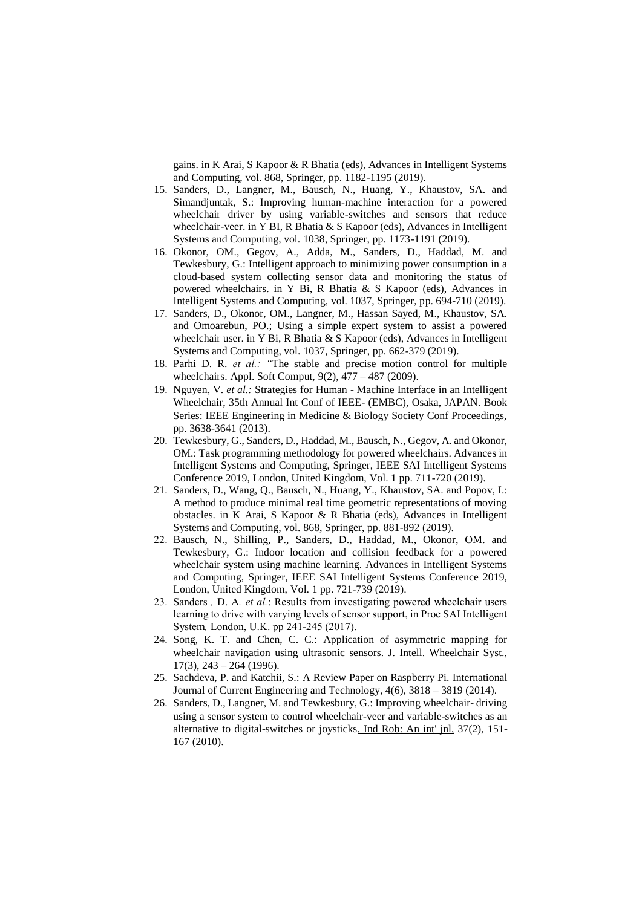gains. in K Arai, S Kapoor & R Bhatia (eds), Advances in Intelligent Systems and Computing, vol. 868, Springer, pp. 1182-1195 (2019).

- 15. Sanders, D., Langner, M., Bausch, N., Huang, Y., Khaustov, SA. and Simandjuntak, S.: Improving human-machine interaction for a powered wheelchair driver by using variable-switches and sensors that reduce wheelchair-veer. in Y BI, R Bhatia & S Kapoor (eds), Advances in Intelligent Systems and Computing, vol. 1038, Springer, pp. 1173-1191 (2019).
- 16. Okonor, OM., Gegov, A., Adda, M., Sanders, D., Haddad, M. and Tewkesbury, G.: Intelligent approach to minimizing power consumption in a cloud-based system collecting sensor data and monitoring the status of powered wheelchairs. in Y Bi, R Bhatia & S Kapoor (eds), Advances in Intelligent Systems and Computing, vol. 1037, Springer, pp. 694-710 (2019).
- 17. Sanders, D., Okonor, OM., Langner, M., Hassan Sayed, M., Khaustov, SA. and Omoarebun, PO.; Using a simple expert system to assist a powered wheelchair user. in Y Bi, R Bhatia & S Kapoor (eds), Advances in Intelligent Systems and Computing, vol. 1037, Springer, pp. 662-379 (2019).
- 18. Parhi D. R. *et al.: "*The stable and precise motion control for multiple wheelchairs. Appl. Soft Comput, 9(2), 477 – 487 (2009).
- 19. Nguyen, V. *et al.:* Strategies for Human Machine Interface in an Intelligent Wheelchair, 35th Annual Int Conf of IEEE- (EMBC), Osaka, JAPAN. Book Series: IEEE Engineering in Medicine & Biology Society Conf Proceedings, pp. 3638-3641 (2013).
- 20. Tewkesbury, G., Sanders, D., Haddad, M., Bausch, N., Gegov, A. and Okonor, OM.: Task programming methodology for powered wheelchairs. Advances in Intelligent Systems and Computing, Springer, IEEE SAI Intelligent Systems Conference 2019, London, United Kingdom, Vol. 1 pp. 711-720 (2019).
- 21. Sanders, D., Wang, Q., Bausch, N., Huang, Y., Khaustov, SA. and Popov, I.: A method to produce minimal real time geometric representations of moving obstacles. in K Arai, S Kapoor & R Bhatia (eds), Advances in Intelligent Systems and Computing, vol. 868, Springer, pp. 881-892 (2019).
- 22. Bausch, N., Shilling, P., Sanders, D., Haddad, M., Okonor, OM. and Tewkesbury, G.: Indoor location and collision feedback for a powered wheelchair system using machine learning. Advances in Intelligent Systems and Computing, Springer, IEEE SAI Intelligent Systems Conference 2019, London, United Kingdom, Vol. 1 pp. 721-739 (2019).
- 23. Sanders *,* D. A*. et al.*: Results from investigating powered wheelchair users learning to drive with varying levels of sensor support, in Proc SAI Intelligent System*,* London, U.K. pp 241-245 (2017).
- 24. Song, K. T. and Chen, C. C.: Application of asymmetric mapping for wheelchair navigation using ultrasonic sensors. J. Intell. Wheelchair Syst.,  $17(3)$ ,  $243 - 264$  (1996).
- 25. Sachdeva, P. and Katchii, S.: A Review Paper on Raspberry Pi. International Journal of Current Engineering and Technology, 4(6), 3818 – 3819 (2014).
- 26. Sanders, D., Langner, M. and Tewkesbury, G.: Improving wheelchair- driving using a sensor system to control wheelchair-veer and variable-switches as an alternative to digital-switches or joysticks. Ind Rob: An int' jnl, 37(2), 151- 167 (2010).